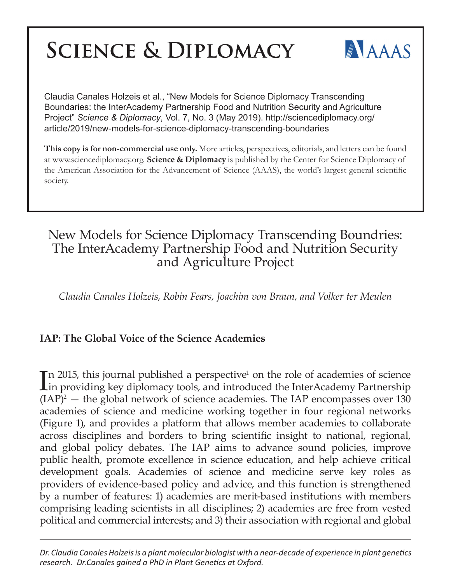# **SCIENCE & DIPLOMACY**



Claudia Canales Holzeis et al., "New Models for Science Diplomacy Transcending Boundaries: the InterAcademy Partnership Food and Nutrition Security and Agriculture Project" *Science & Diplomacy*, Vol. 7, No. 3 (May 2019). http://sciencediplomacy.org/ article/2019/new-models-for-science-diplomacy-transcending-boundaries

**This copy is for non-commercial use only.** More articles, perspectives, editorials, and letters can be found at www.sciencediplomacy.org. **Science & Diplomacy** is published by the Center for Science Diplomacy of the American Association for the Advancement of Science (AAAS), the world's largest general scientific society.

## New Models for Science Diplomacy Transcending Boundries: The InterAcademy Partnership Food and Nutrition Security and Agriculture Project

*Claudia Canales Holzeis, Robin Fears, Joachim von Braun, and Volker ter Meulen*

### **IAP: The Global Voice of the Science Academies**

In 2015, this journal published a perspective<sup>1</sup> on the role of academies of science<br>in providing key diplomacy tools, and introduced the InterAcademy Partnership in providing key diplomacy tools, and introduced the InterAcademy Partnership  $(IAP)^2$  — the global network of science academies. The IAP encompasses over 130 academies of science and medicine working together in four regional networks (Figure 1), and provides a platform that allows member academies to collaborate across disciplines and borders to bring scientific insight to national, regional, and global policy debates. The IAP aims to advance sound policies, improve public health, promote excellence in science education, and help achieve critical development goals. Academies of science and medicine serve key roles as providers of evidence-based policy and advice, and this function is strengthened by a number of features: 1) academies are merit-based institutions with members comprising leading scientists in all disciplines; 2) academies are free from vested political and commercial interests; and 3) their association with regional and global

*Dr. Claudia Canales Holzeis is a plant molecular biologist with a near-decade of experience in plant genetics research. Dr.Canales gained a PhD in Plant Genetics at Oxford.*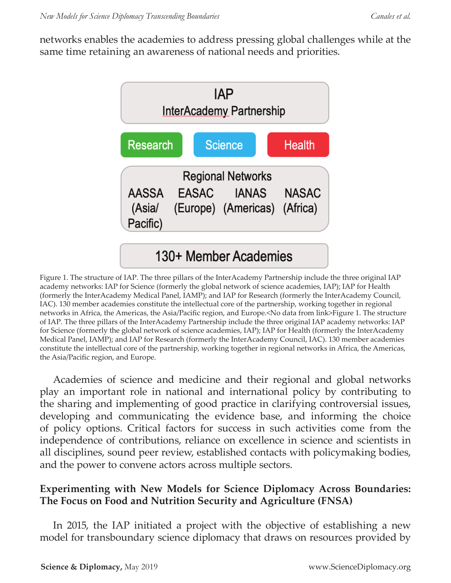networks enables the academies to address pressing global challenges while at the same time retaining an awareness of national needs and priorities.



Figure 1. The structure of IAP. The three pillars of the InterAcademy Partnership include the three original IAP academy networks: IAP for Science (formerly the global network of science academies, IAP); IAP for Health (formerly the InterAcademy Medical Panel, IAMP); and IAP for Research (formerly the InterAcademy Council, IAC). 130 member academies constitute the intellectual core of the partnership, working together in regional networks in Africa, the Americas, the Asia/Pacific region, and Europe.<No data from link>Figure 1. The structure of IAP. The three pillars of the InterAcademy Partnership include the three original IAP academy networks: IAP for Science (formerly the global network of science academies, IAP); IAP for Health (formerly the InterAcademy Medical Panel, IAMP); and IAP for Research (formerly the InterAcademy Council, IAC). 130 member academies constitute the intellectual core of the partnership, working together in regional networks in Africa, the Americas, the Asia/Pacific region, and Europe.

Academies of science and medicine and their regional and global networks play an important role in national and international policy by contributing to the sharing and implementing of good practice in clarifying controversial issues, developing and communicating the evidence base, and informing the choice of policy options. Critical factors for success in such activities come from the independence of contributions, reliance on excellence in science and scientists in all disciplines, sound peer review, established contacts with policymaking bodies, and the power to convene actors across multiple sectors.

#### **Experimenting with New Models for Science Diplomacy Across Boundaries: The Focus on Food and Nutrition Security and Agriculture (FNSA)**

In 2015, the IAP initiated a project with the objective of establishing a new model for transboundary science diplomacy that draws on resources provided by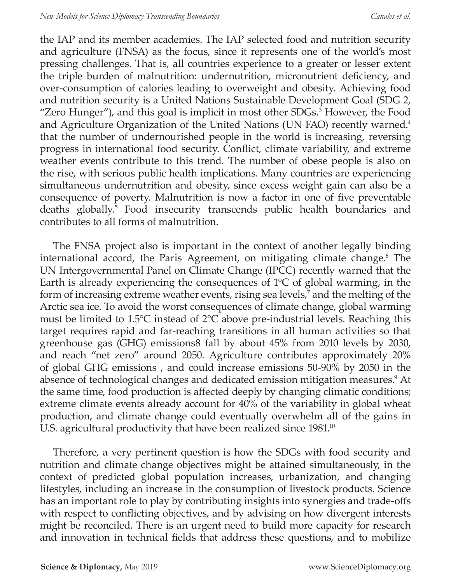the IAP and its member academies. The IAP selected food and nutrition security and agriculture (FNSA) as the focus, since it represents one of the world's most pressing challenges. That is, all countries experience to a greater or lesser extent the triple burden of malnutrition: undernutrition, micronutrient deficiency, and over-consumption of calories leading to overweight and obesity. Achieving food and nutrition security is a United Nations Sustainable Development Goal (SDG 2, "Zero Hunger"), and this goal is implicit in most other SDGs.<sup>3</sup> However, the Food and Agriculture Organization of the United Nations (UN FAO) recently warned.4 that the number of undernourished people in the world is increasing, reversing progress in international food security. Conflict, climate variability, and extreme weather events contribute to this trend. The number of obese people is also on the rise, with serious public health implications. Many countries are experiencing simultaneous undernutrition and obesity, since excess weight gain can also be a consequence of poverty. Malnutrition is now a factor in one of five preventable deaths globally.5 Food insecurity transcends public health boundaries and contributes to all forms of malnutrition.

The FNSA project also is important in the context of another legally binding international accord, the Paris Agreement, on mitigating climate change.6 The UN Intergovernmental Panel on Climate Change (IPCC) recently warned that the Earth is already experiencing the consequences of 1°C of global warming, in the form of increasing extreme weather events, rising sea levels,<sup>7</sup> and the melting of the Arctic sea ice. To avoid the worst consequences of climate change, global warming must be limited to 1.5°C instead of 2°C above pre-industrial levels. Reaching this target requires rapid and far-reaching transitions in all human activities so that greenhouse gas (GHG) emissions8 fall by about 45% from 2010 levels by 2030, and reach "net zero" around 2050. Agriculture contributes approximately 20% of global GHG emissions , and could increase emissions 50-90% by 2050 in the absence of technological changes and dedicated emission mitigation measures.<sup>9</sup> At the same time, food production is affected deeply by changing climatic conditions; extreme climate events already account for 40% of the variability in global wheat production, and climate change could eventually overwhelm all of the gains in U.S. agricultural productivity that have been realized since 1981.<sup>10</sup>

Therefore, a very pertinent question is how the SDGs with food security and nutrition and climate change objectives might be attained simultaneously, in the context of predicted global population increases, urbanization, and changing lifestyles, including an increase in the consumption of livestock products. Science has an important role to play by contributing insights into synergies and trade-offs with respect to conflicting objectives, and by advising on how divergent interests might be reconciled. There is an urgent need to build more capacity for research and innovation in technical fields that address these questions, and to mobilize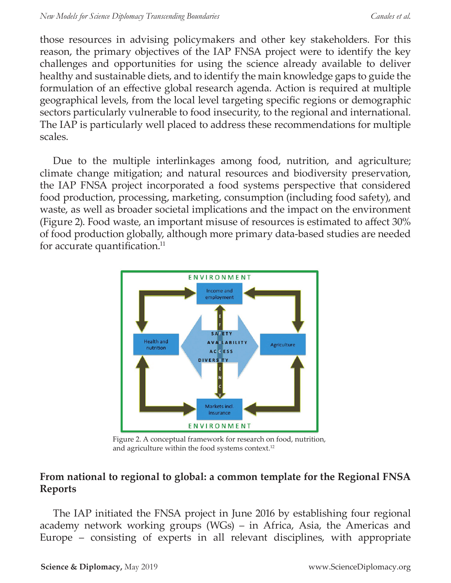those resources in advising policymakers and other key stakeholders. For this reason, the primary objectives of the IAP FNSA project were to identify the key challenges and opportunities for using the science already available to deliver healthy and sustainable diets, and to identify the main knowledge gaps to guide the formulation of an effective global research agenda. Action is required at multiple geographical levels, from the local level targeting specific regions or demographic sectors particularly vulnerable to food insecurity, to the regional and international. The IAP is particularly well placed to address these recommendations for multiple scales.

Due to the multiple interlinkages among food, nutrition, and agriculture; climate change mitigation; and natural resources and biodiversity preservation, the IAP FNSA project incorporated a food systems perspective that considered food production, processing, marketing, consumption (including food safety), and waste, as well as broader societal implications and the impact on the environment (Figure 2). Food waste, an important misuse of resources is estimated to affect 30% of food production globally, although more primary data-based studies are needed for accurate quantification. $<sup>11</sup>$ </sup>



Figure 2. A conceptual framework for research on food, nutrition, and agriculture within the food systems context.12

### **From national to regional to global: a common template for the Regional FNSA Reports**

The IAP initiated the FNSA project in June 2016 by establishing four regional academy network working groups (WGs) – in Africa, Asia, the Americas and Europe – consisting of experts in all relevant disciplines, with appropriate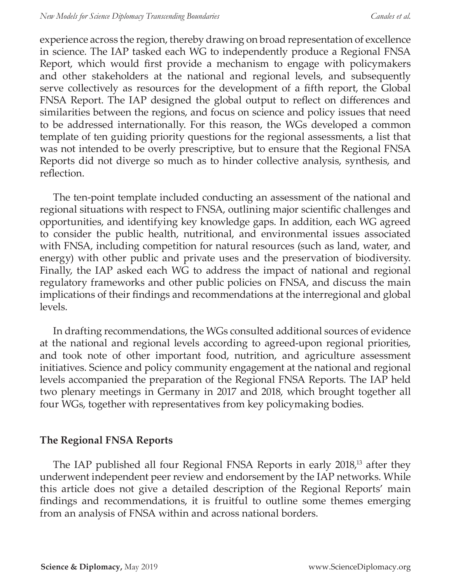experience across the region, thereby drawing on broad representation of excellence in science. The IAP tasked each WG to independently produce a Regional FNSA Report, which would first provide a mechanism to engage with policymakers and other stakeholders at the national and regional levels, and subsequently serve collectively as resources for the development of a fifth report, the Global FNSA Report. The IAP designed the global output to reflect on differences and similarities between the regions, and focus on science and policy issues that need to be addressed internationally. For this reason, the WGs developed a common template of ten guiding priority questions for the regional assessments, a list that was not intended to be overly prescriptive, but to ensure that the Regional FNSA Reports did not diverge so much as to hinder collective analysis, synthesis, and reflection.

The ten-point template included conducting an assessment of the national and regional situations with respect to FNSA, outlining major scientific challenges and opportunities, and identifying key knowledge gaps. In addition, each WG agreed to consider the public health, nutritional, and environmental issues associated with FNSA, including competition for natural resources (such as land, water, and energy) with other public and private uses and the preservation of biodiversity. Finally, the IAP asked each WG to address the impact of national and regional regulatory frameworks and other public policies on FNSA, and discuss the main implications of their findings and recommendations at the interregional and global levels.

In drafting recommendations, the WGs consulted additional sources of evidence at the national and regional levels according to agreed-upon regional priorities, and took note of other important food, nutrition, and agriculture assessment initiatives. Science and policy community engagement at the national and regional levels accompanied the preparation of the Regional FNSA Reports. The IAP held two plenary meetings in Germany in 2017 and 2018, which brought together all four WGs, together with representatives from key policymaking bodies.

#### **The Regional FNSA Reports**

The IAP published all four Regional FNSA Reports in early 2018,<sup>13</sup> after they underwent independent peer review and endorsement by the IAP networks. While this article does not give a detailed description of the Regional Reports' main findings and recommendations, it is fruitful to outline some themes emerging from an analysis of FNSA within and across national borders.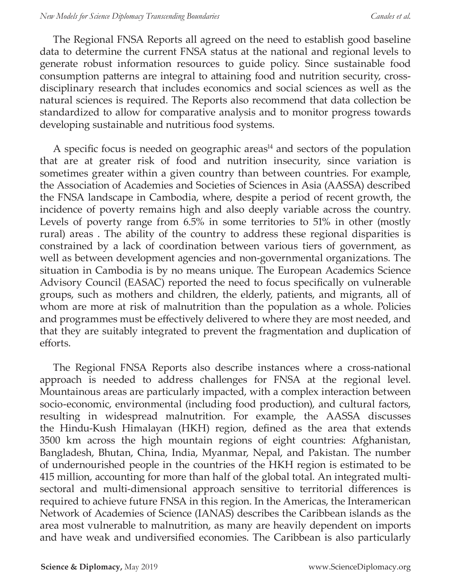The Regional FNSA Reports all agreed on the need to establish good baseline data to determine the current FNSA status at the national and regional levels to generate robust information resources to guide policy. Since sustainable food consumption patterns are integral to attaining food and nutrition security, crossdisciplinary research that includes economics and social sciences as well as the natural sciences is required. The Reports also recommend that data collection be standardized to allow for comparative analysis and to monitor progress towards developing sustainable and nutritious food systems.

A specific focus is needed on geographic areas $14$  and sectors of the population that are at greater risk of food and nutrition insecurity, since variation is sometimes greater within a given country than between countries. For example, the Association of Academies and Societies of Sciences in Asia (AASSA) described the FNSA landscape in Cambodia, where, despite a period of recent growth, the incidence of poverty remains high and also deeply variable across the country. Levels of poverty range from 6.5% in some territories to 51% in other (mostly rural) areas . The ability of the country to address these regional disparities is constrained by a lack of coordination between various tiers of government, as well as between development agencies and non-governmental organizations. The situation in Cambodia is by no means unique. The European Academics Science Advisory Council (EASAC) reported the need to focus specifically on vulnerable groups, such as mothers and children, the elderly, patients, and migrants, all of whom are more at risk of malnutrition than the population as a whole. Policies and programmes must be effectively delivered to where they are most needed, and that they are suitably integrated to prevent the fragmentation and duplication of efforts.

The Regional FNSA Reports also describe instances where a cross-national approach is needed to address challenges for FNSA at the regional level. Mountainous areas are particularly impacted, with a complex interaction between socio-economic, environmental (including food production), and cultural factors, resulting in widespread malnutrition. For example, the AASSA discusses the Hindu-Kush Himalayan (HKH) region, defined as the area that extends 3500 km across the high mountain regions of eight countries: Afghanistan, Bangladesh, Bhutan, China, India, Myanmar, Nepal, and Pakistan. The number of undernourished people in the countries of the HKH region is estimated to be 415 million, accounting for more than half of the global total. An integrated multisectoral and multi-dimensional approach sensitive to territorial differences is required to achieve future FNSA in this region. In the Americas, the Interamerican Network of Academies of Science (IANAS) describes the Caribbean islands as the area most vulnerable to malnutrition, as many are heavily dependent on imports and have weak and undiversified economies. The Caribbean is also particularly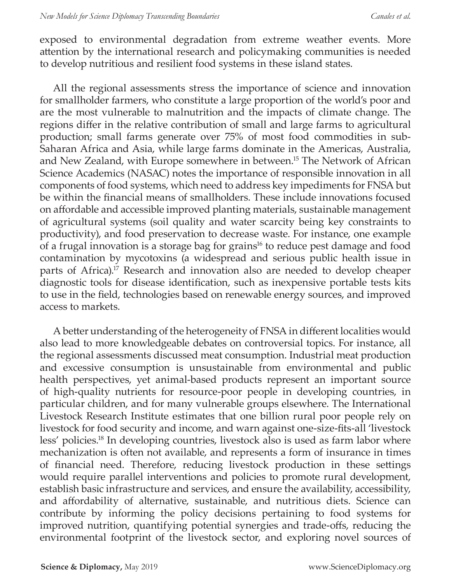exposed to environmental degradation from extreme weather events. More attention by the international research and policymaking communities is needed to develop nutritious and resilient food systems in these island states.

All the regional assessments stress the importance of science and innovation for smallholder farmers, who constitute a large proportion of the world's poor and are the most vulnerable to malnutrition and the impacts of climate change. The regions differ in the relative contribution of small and large farms to agricultural production; small farms generate over 75% of most food commodities in sub-Saharan Africa and Asia, while large farms dominate in the Americas, Australia, and New Zealand, with Europe somewhere in between.15 The Network of African Science Academics (NASAC) notes the importance of responsible innovation in all components of food systems, which need to address key impediments for FNSA but be within the financial means of smallholders. These include innovations focused on affordable and accessible improved planting materials, sustainable management of agricultural systems (soil quality and water scarcity being key constraints to productivity), and food preservation to decrease waste. For instance, one example of a frugal innovation is a storage bag for grains<sup>16</sup> to reduce pest damage and food contamination by mycotoxins (a widespread and serious public health issue in parts of Africa).<sup>17</sup> Research and innovation also are needed to develop cheaper diagnostic tools for disease identification, such as inexpensive portable tests kits to use in the field, technologies based on renewable energy sources, and improved access to markets.

A better understanding of the heterogeneity of FNSA in different localities would also lead to more knowledgeable debates on controversial topics. For instance, all the regional assessments discussed meat consumption. Industrial meat production and excessive consumption is unsustainable from environmental and public health perspectives, yet animal-based products represent an important source of high-quality nutrients for resource-poor people in developing countries, in particular children, and for many vulnerable groups elsewhere. The International Livestock Research Institute estimates that one billion rural poor people rely on livestock for food security and income, and warn against one-size-fits-all 'livestock less' policies.18 In developing countries, livestock also is used as farm labor where mechanization is often not available, and represents a form of insurance in times of financial need. Therefore, reducing livestock production in these settings would require parallel interventions and policies to promote rural development, establish basic infrastructure and services, and ensure the availability, accessibility, and affordability of alternative, sustainable, and nutritious diets. Science can contribute by informing the policy decisions pertaining to food systems for improved nutrition, quantifying potential synergies and trade-offs, reducing the environmental footprint of the livestock sector, and exploring novel sources of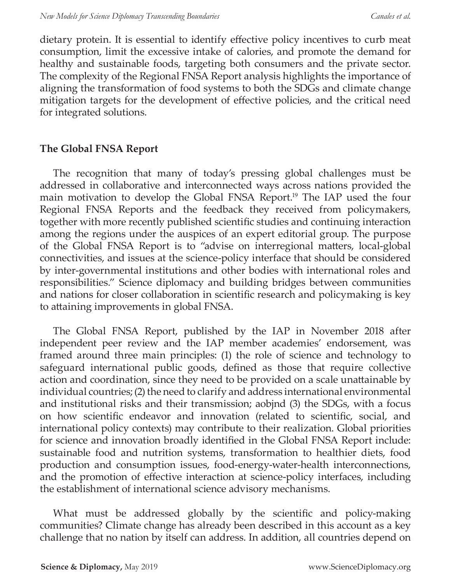dietary protein. It is essential to identify effective policy incentives to curb meat consumption, limit the excessive intake of calories, and promote the demand for healthy and sustainable foods, targeting both consumers and the private sector. The complexity of the Regional FNSA Report analysis highlights the importance of aligning the transformation of food systems to both the SDGs and climate change mitigation targets for the development of effective policies, and the critical need for integrated solutions.

#### **The Global FNSA Report**

The recognition that many of today's pressing global challenges must be addressed in collaborative and interconnected ways across nations provided the main motivation to develop the Global FNSA Report.<sup>19</sup> The IAP used the four Regional FNSA Reports and the feedback they received from policymakers, together with more recently published scientific studies and continuing interaction among the regions under the auspices of an expert editorial group. The purpose of the Global FNSA Report is to "advise on interregional matters, local-global connectivities, and issues at the science-policy interface that should be considered by inter-governmental institutions and other bodies with international roles and responsibilities." Science diplomacy and building bridges between communities and nations for closer collaboration in scientific research and policymaking is key to attaining improvements in global FNSA.

The Global FNSA Report, published by the IAP in November 2018 after independent peer review and the IAP member academies' endorsement, was framed around three main principles: (1) the role of science and technology to safeguard international public goods, defined as those that require collective action and coordination, since they need to be provided on a scale unattainable by individual countries; (2) the need to clarify and address international environmental and institutional risks and their transmission; aobjnd (3) the SDGs, with a focus on how scientific endeavor and innovation (related to scientific, social, and international policy contexts) may contribute to their realization. Global priorities for science and innovation broadly identified in the Global FNSA Report include: sustainable food and nutrition systems, transformation to healthier diets, food production and consumption issues, food-energy-water-health interconnections, and the promotion of effective interaction at science-policy interfaces, including the establishment of international science advisory mechanisms.

What must be addressed globally by the scientific and policy-making communities? Climate change has already been described in this account as a key challenge that no nation by itself can address. In addition, all countries depend on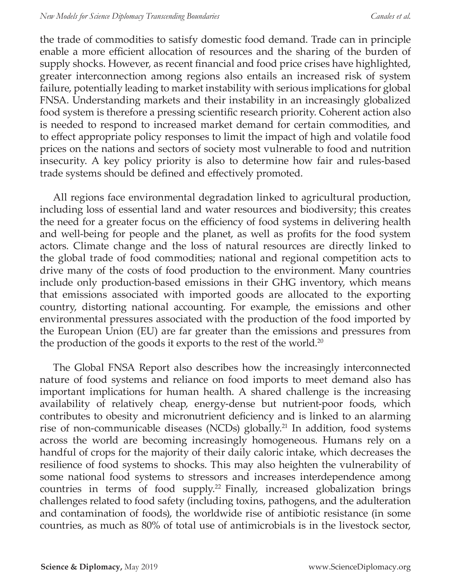the trade of commodities to satisfy domestic food demand. Trade can in principle enable a more efficient allocation of resources and the sharing of the burden of supply shocks. However, as recent financial and food price crises have highlighted, greater interconnection among regions also entails an increased risk of system failure, potentially leading to market instability with serious implications for global FNSA. Understanding markets and their instability in an increasingly globalized food system is therefore a pressing scientific research priority. Coherent action also is needed to respond to increased market demand for certain commodities, and to effect appropriate policy responses to limit the impact of high and volatile food prices on the nations and sectors of society most vulnerable to food and nutrition insecurity. A key policy priority is also to determine how fair and rules-based trade systems should be defined and effectively promoted.

All regions face environmental degradation linked to agricultural production, including loss of essential land and water resources and biodiversity; this creates the need for a greater focus on the efficiency of food systems in delivering health and well-being for people and the planet, as well as profits for the food system actors. Climate change and the loss of natural resources are directly linked to the global trade of food commodities; national and regional competition acts to drive many of the costs of food production to the environment. Many countries include only production-based emissions in their GHG inventory, which means that emissions associated with imported goods are allocated to the exporting country, distorting national accounting. For example, the emissions and other environmental pressures associated with the production of the food imported by the European Union (EU) are far greater than the emissions and pressures from the production of the goods it exports to the rest of the world.<sup>20</sup>

The Global FNSA Report also describes how the increasingly interconnected nature of food systems and reliance on food imports to meet demand also has important implications for human health. A shared challenge is the increasing availability of relatively cheap, energy-dense but nutrient-poor foods, which contributes to obesity and micronutrient deficiency and is linked to an alarming rise of non-communicable diseases (NCDs) globally.<sup>21</sup> In addition, food systems across the world are becoming increasingly homogeneous. Humans rely on a handful of crops for the majority of their daily caloric intake, which decreases the resilience of food systems to shocks. This may also heighten the vulnerability of some national food systems to stressors and increases interdependence among countries in terms of food supply.<sup>22</sup> Finally, increased globalization brings challenges related to food safety (including toxins, pathogens, and the adulteration and contamination of foods), the worldwide rise of antibiotic resistance (in some countries, as much as 80% of total use of antimicrobials is in the livestock sector,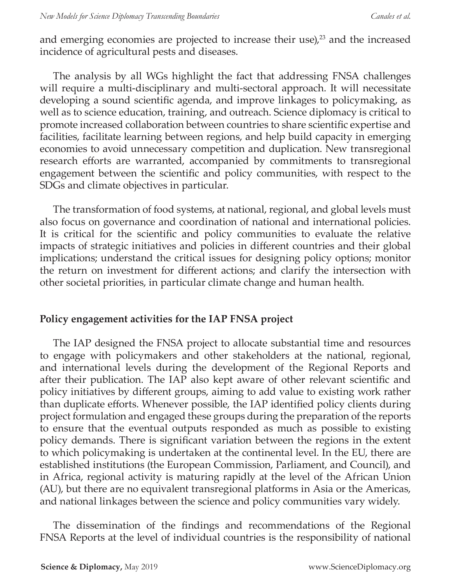and emerging economies are projected to increase their use) $,^{23}$  and the increased incidence of agricultural pests and diseases.

The analysis by all WGs highlight the fact that addressing FNSA challenges will require a multi-disciplinary and multi-sectoral approach. It will necessitate developing a sound scientific agenda, and improve linkages to policymaking, as well as to science education, training, and outreach. Science diplomacy is critical to promote increased collaboration between countries to share scientific expertise and facilities, facilitate learning between regions, and help build capacity in emerging economies to avoid unnecessary competition and duplication. New transregional research efforts are warranted, accompanied by commitments to transregional engagement between the scientific and policy communities, with respect to the SDGs and climate objectives in particular.

The transformation of food systems, at national, regional, and global levels must also focus on governance and coordination of national and international policies. It is critical for the scientific and policy communities to evaluate the relative impacts of strategic initiatives and policies in different countries and their global implications; understand the critical issues for designing policy options; monitor the return on investment for different actions; and clarify the intersection with other societal priorities, in particular climate change and human health.

#### **Policy engagement activities for the IAP FNSA project**

The IAP designed the FNSA project to allocate substantial time and resources to engage with policymakers and other stakeholders at the national, regional, and international levels during the development of the Regional Reports and after their publication. The IAP also kept aware of other relevant scientific and policy initiatives by different groups, aiming to add value to existing work rather than duplicate efforts. Whenever possible, the IAP identified policy clients during project formulation and engaged these groups during the preparation of the reports to ensure that the eventual outputs responded as much as possible to existing policy demands. There is significant variation between the regions in the extent to which policymaking is undertaken at the continental level. In the EU, there are established institutions (the European Commission, Parliament, and Council), and in Africa, regional activity is maturing rapidly at the level of the African Union (AU), but there are no equivalent transregional platforms in Asia or the Americas, and national linkages between the science and policy communities vary widely.

The dissemination of the findings and recommendations of the Regional FNSA Reports at the level of individual countries is the responsibility of national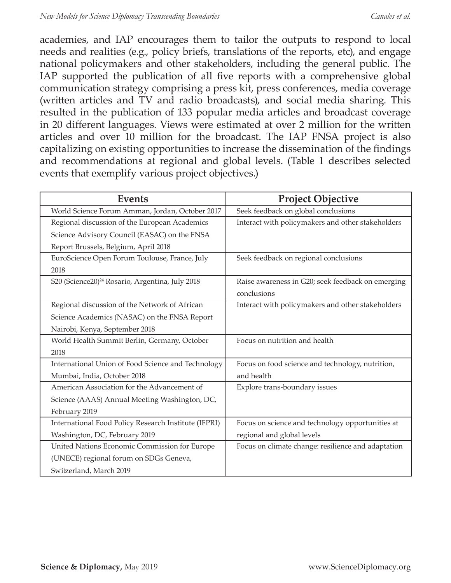academies, and IAP encourages them to tailor the outputs to respond to local needs and realities (e.g., policy briefs, translations of the reports, etc), and engage national policymakers and other stakeholders, including the general public. The IAP supported the publication of all five reports with a comprehensive global communication strategy comprising a press kit, press conferences, media coverage (written articles and TV and radio broadcasts), and social media sharing. This resulted in the publication of 133 popular media articles and broadcast coverage in 20 different languages. Views were estimated at over 2 million for the written articles and over 10 million for the broadcast. The IAP FNSA project is also capitalizing on existing opportunities to increase the dissemination of the findings and recommendations at regional and global levels. (Table 1 describes selected events that exemplify various project objectives.)

| <b>Events</b>                                               | <b>Project Objective</b>                           |
|-------------------------------------------------------------|----------------------------------------------------|
| World Science Forum Amman, Jordan, October 2017             | Seek feedback on global conclusions                |
| Regional discussion of the European Academics               | Interact with policymakers and other stakeholders  |
| Science Advisory Council (EASAC) on the FNSA                |                                                    |
| Report Brussels, Belgium, April 2018                        |                                                    |
| EuroScience Open Forum Toulouse, France, July               | Seek feedback on regional conclusions              |
| 2018                                                        |                                                    |
| S20 (Science20) <sup>24</sup> Rosario, Argentina, July 2018 | Raise awareness in G20; seek feedback on emerging  |
|                                                             | conclusions                                        |
| Regional discussion of the Network of African               | Interact with policymakers and other stakeholders  |
| Science Academics (NASAC) on the FNSA Report                |                                                    |
| Nairobi, Kenya, September 2018                              |                                                    |
| World Health Summit Berlin, Germany, October                | Focus on nutrition and health                      |
| 2018                                                        |                                                    |
| International Union of Food Science and Technology          | Focus on food science and technology, nutrition,   |
| Mumbai, India, October 2018                                 | and health                                         |
| American Association for the Advancement of                 | Explore trans-boundary issues                      |
| Science (AAAS) Annual Meeting Washington, DC,               |                                                    |
| February 2019                                               |                                                    |
| International Food Policy Research Institute (IFPRI)        | Focus on science and technology opportunities at   |
| Washington, DC, February 2019                               | regional and global levels                         |
| United Nations Economic Commission for Europe               | Focus on climate change: resilience and adaptation |
| (UNECE) regional forum on SDGs Geneva,                      |                                                    |
| Switzerland, March 2019                                     |                                                    |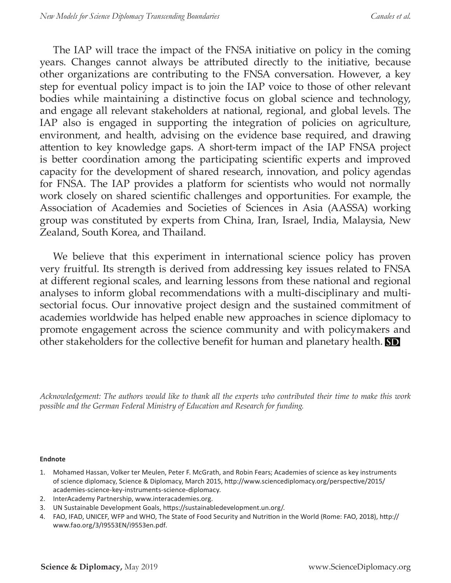The IAP will trace the impact of the FNSA initiative on policy in the coming years. Changes cannot always be attributed directly to the initiative, because other organizations are contributing to the FNSA conversation. However, a key step for eventual policy impact is to join the IAP voice to those of other relevant bodies while maintaining a distinctive focus on global science and technology, and engage all relevant stakeholders at national, regional, and global levels. The IAP also is engaged in supporting the integration of policies on agriculture, environment, and health, advising on the evidence base required, and drawing attention to key knowledge gaps. A short-term impact of the IAP FNSA project is better coordination among the participating scientific experts and improved capacity for the development of shared research, innovation, and policy agendas for FNSA. The IAP provides a platform for scientists who would not normally work closely on shared scientific challenges and opportunities. For example, the Association of Academies and Societies of Sciences in Asia (AASSA) working group was constituted by experts from China, Iran, Israel, India, Malaysia, New Zealand, South Korea, and Thailand.

We believe that this experiment in international science policy has proven very fruitful. Its strength is derived from addressing key issues related to FNSA at different regional scales, and learning lessons from these national and regional analyses to inform global recommendations with a multi-disciplinary and multisectorial focus. Our innovative project design and the sustained commitment of academies worldwide has helped enable new approaches in science diplomacy to promote engagement across the science community and with policymakers and other stakeholders for the collective benefit for human and planetary health. **SD** 

*Acknowledgement: The authors would like to thank all the experts who contributed their time to make this work possible and the German Federal Ministry of Education and Research for funding.*

#### **Endnote**

- 1. Mohamed Hassan, Volker ter Meulen, Peter F. McGrath, and Robin Fears; Academies of science as key instruments of science diplomacy, Science & Diplomacy, March 2015, http://www.sciencediplomacy.org/perspective/2015/ academies-science-key-instruments-science-diplomacy.
- 2. InterAcademy Partnership, www.interacademies.org.
- 3. UN Sustainable Development Goals, https://sustainabledevelopment.un.org/.
- 4. FAO, IFAD, UNICEF, WFP and WHO, The State of Food Security and Nutrition in the World (Rome: FAO, 2018), http:// www.fao.org/3/I9553EN/i9553en.pdf.